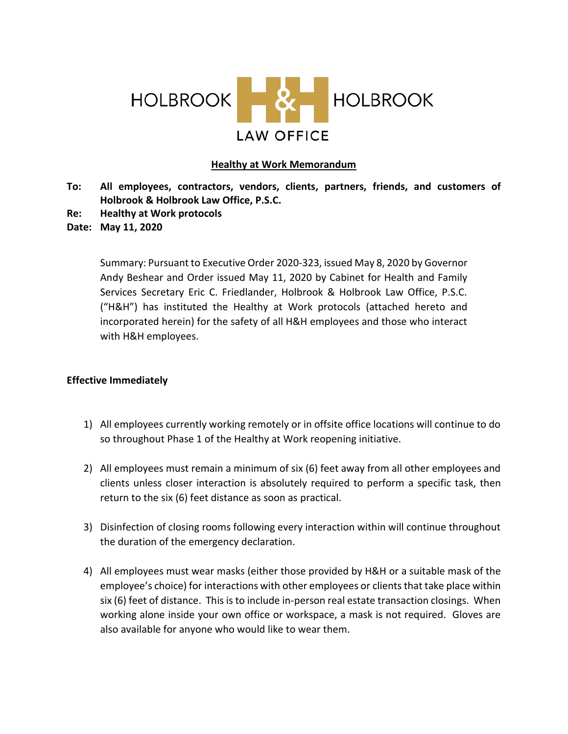

## **Healthy at Work Memorandum**

- **To: All employees, contractors, vendors, clients, partners, friends, and customers of Holbrook & Holbrook Law Office, P.S.C.**
- **Re: Healthy at Work protocols**
- **Date: May 11, 2020**

Summary: Pursuant to Executive Order 2020-323, issued May 8, 2020 by Governor Andy Beshear and Order issued May 11, 2020 by Cabinet for Health and Family Services Secretary Eric C. Friedlander, Holbrook & Holbrook Law Office, P.S.C. ("H&H") has instituted the Healthy at Work protocols (attached hereto and incorporated herein) for the safety of all H&H employees and those who interact with H&H employees.

## **Effective Immediately**

- 1) All employees currently working remotely or in offsite office locations will continue to do so throughout Phase 1 of the Healthy at Work reopening initiative.
- 2) All employees must remain a minimum of six (6) feet away from all other employees and clients unless closer interaction is absolutely required to perform a specific task, then return to the six (6) feet distance as soon as practical.
- 3) Disinfection of closing rooms following every interaction within will continue throughout the duration of the emergency declaration.
- 4) All employees must wear masks (either those provided by H&H or a suitable mask of the employee's choice) for interactions with other employees or clients that take place within six (6) feet of distance. This is to include in-person real estate transaction closings. When working alone inside your own office or workspace, a mask is not required. Gloves are also available for anyone who would like to wear them.